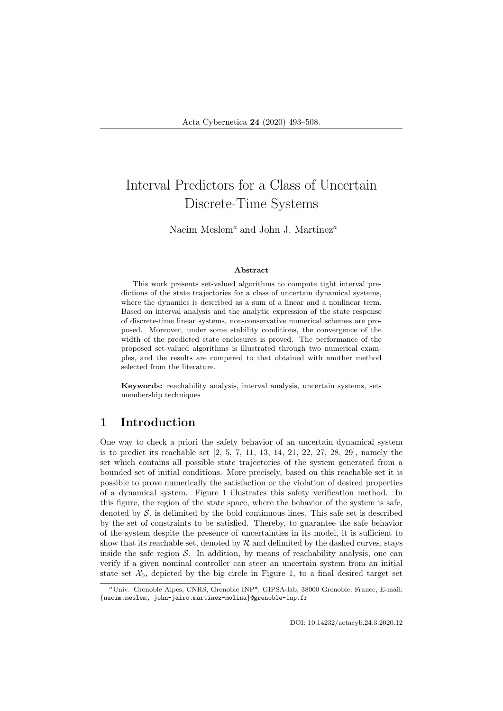# Interval Predictors for a Class of Uncertain Discrete-Time Systems

Nacim Meslem<sup>a</sup> and John J. Martinez<sup>a</sup>

#### Abstract

This work presents set-valued algorithms to compute tight interval predictions of the state trajectories for a class of uncertain dynamical systems, where the dynamics is described as a sum of a linear and a nonlinear term. Based on interval analysis and the analytic expression of the state response of discrete-time linear systems, non-conservative numerical schemes are proposed. Moreover, under some stability conditions, the convergence of the width of the predicted state enclosures is proved. The performance of the proposed set-valued algorithms is illustrated through two numerical examples, and the results are compared to that obtained with another method selected from the literature.

Keywords: reachability analysis, interval analysis, uncertain systems, setmembership techniques

# 1 Introduction

One way to check a priori the safety behavior of an uncertain dynamical system is to predict its reachable set [2, 5, 7, 11, 13, 14, 21, 22, 27, 28, 29], namely the set which contains all possible state trajectories of the system generated from a bounded set of initial conditions. More precisely, based on this reachable set it is possible to prove numerically the satisfaction or the violation of desired properties of a dynamical system. Figure 1 illustrates this safety verification method. In this figure, the region of the state space, where the behavior of the system is safe, denoted by  $S$ , is delimited by the bold continuous lines. This safe set is described by the set of constraints to be satisfied. Thereby, to guarantee the safe behavior of the system despite the presence of uncertainties in its model, it is sufficient to show that its reachable set, denoted by  $R$  and delimited by the dashed curves, stays inside the safe region  $S$ . In addition, by means of reachability analysis, one can verify if a given nominal controller can steer an uncertain system from an initial state set  $\mathcal{X}_0$ , depicted by the big circle in Figure 1, to a final desired target set

<sup>a</sup>Univ. Grenoble Alpes, CNRS, Grenoble INP\*, GIPSA-lab, 38000 Grenoble, France, E-mail: {nacim.meslem, john-jairo.martinez-molina}@grenoble-inp.fr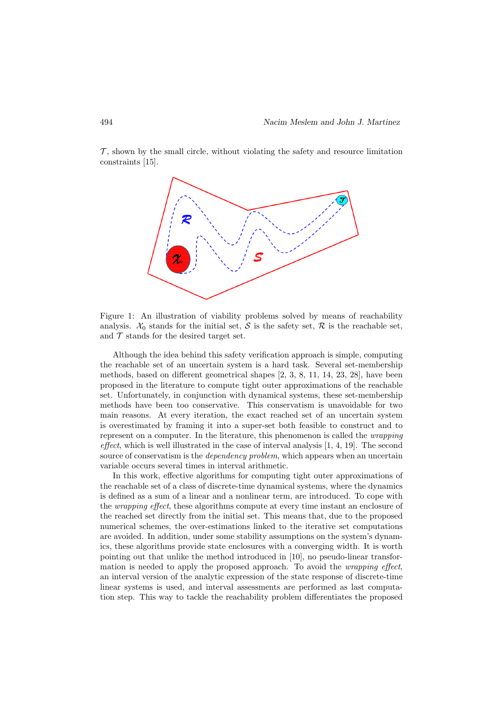$\mathcal{T}$ , shown by the small circle, without violating the safety and resource limitation constraints [15].



Figure 1: An illustration of viability problems solved by means of reachability analysis.  $\mathcal{X}_0$  stands for the initial set,  $\mathcal S$  is the safety set,  $\mathcal R$  is the reachable set, and  $\mathcal T$  stands for the desired target set.

Although the idea behind this safety verification approach is simple, computing the reachable set of an uncertain system is a hard task. Several set-membership methods, based on different geometrical shapes [2, 3, 8, 11, 14, 23, 28], have been proposed in the literature to compute tight outer approximations of the reachable set. Unfortunately, in conjunction with dynamical systems, these set-membership methods have been too conservative. This conservatism is unavoidable for two main reasons. At every iteration, the exact reached set of an uncertain system is overestimated by framing it into a super-set both feasible to construct and to represent on a computer. In the literature, this phenomenon is called the *wrapping* effect, which is well illustrated in the case of interval analysis  $[1, 4, 19]$ . The second source of conservatism is the *dependency problem*, which appears when an uncertain variable occurs several times in interval arithmetic.

In this work, effective algorithms for computing tight outer approximations of the reachable set of a class of discrete-time dynamical systems, where the dynamics is defined as a sum of a linear and a nonlinear term, are introduced. To cope with the wrapping effect, these algorithms compute at every time instant an enclosure of the reached set directly from the initial set. This means that, due to the proposed numerical schemes, the over-estimations linked to the iterative set computations are avoided. In addition, under some stability assumptions on the system's dynamics, these algorithms provide state enclosures with a converging width. It is worth pointing out that unlike the method introduced in [10], no pseudo-linear transformation is needed to apply the proposed approach. To avoid the *wrapping effect*, an interval version of the analytic expression of the state response of discrete-time linear systems is used, and interval assessments are performed as last computation step. This way to tackle the reachability problem differentiates the proposed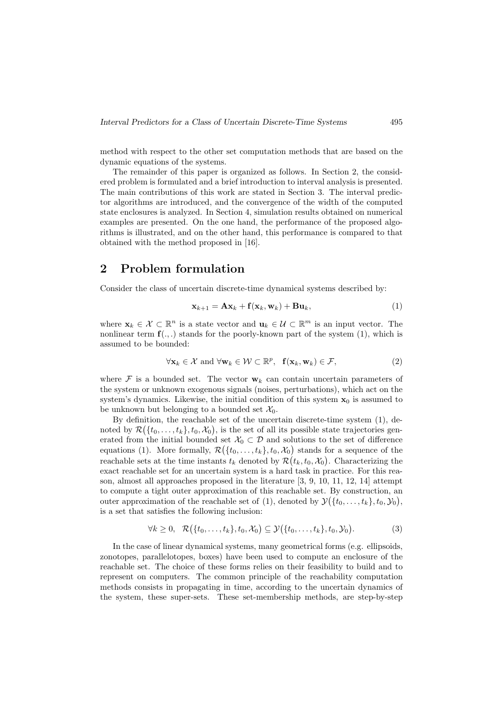method with respect to the other set computation methods that are based on the dynamic equations of the systems.

The remainder of this paper is organized as follows. In Section 2, the considered problem is formulated and a brief introduction to interval analysis is presented. The main contributions of this work are stated in Section 3. The interval predictor algorithms are introduced, and the convergence of the width of the computed state enclosures is analyzed. In Section 4, simulation results obtained on numerical examples are presented. On the one hand, the performance of the proposed algorithms is illustrated, and on the other hand, this performance is compared to that obtained with the method proposed in [16].

# 2 Problem formulation

Consider the class of uncertain discrete-time dynamical systems described by:

$$
\mathbf{x}_{k+1} = \mathbf{A}\mathbf{x}_k + \mathbf{f}(\mathbf{x}_k, \mathbf{w}_k) + \mathbf{B}\mathbf{u}_k, \tag{1}
$$

where  $\mathbf{x}_k \in \mathcal{X} \subset \mathbb{R}^n$  is a state vector and  $\mathbf{u}_k \in \mathcal{U} \subset \mathbb{R}^m$  is an input vector. The nonlinear term  $f(.,.)$  stands for the poorly-known part of the system (1), which is assumed to be bounded:

$$
\forall \mathbf{x}_k \in \mathcal{X} \text{ and } \forall \mathbf{w}_k \in \mathcal{W} \subset \mathbb{R}^p, \ \mathbf{f}(\mathbf{x}_k, \mathbf{w}_k) \in \mathcal{F}, \tag{2}
$$

where F is a bounded set. The vector  $w_k$  can contain uncertain parameters of the system or unknown exogenous signals (noises, perturbations), which act on the system's dynamics. Likewise, the initial condition of this system  $x_0$  is assumed to be unknown but belonging to a bounded set  $\mathcal{X}_0$ .

By definition, the reachable set of the uncertain discrete-time system (1), denoted by  $\mathcal{R}(\{t_0,\ldots,t_k\},t_0,\mathcal{X}_0)$ , is the set of all its possible state trajectories generated from the initial bounded set  $\mathcal{X}_0 \subset \mathcal{D}$  and solutions to the set of difference equations (1). More formally,  $\mathcal{R}(\{t_0,\ldots,t_k\},t_0,\mathcal{X}_0)$  stands for a sequence of the reachable sets at the time instants  $t_k$  denoted by  $\mathcal{R}(t_k, t_0, \mathcal{X}_0)$ . Characterizing the exact reachable set for an uncertain system is a hard task in practice. For this reason, almost all approaches proposed in the literature [3, 9, 10, 11, 12, 14] attempt to compute a tight outer approximation of this reachable set. By construction, an outer approximation of the reachable set of (1), denoted by  $\mathcal{Y}(\lbrace t_0,\ldots,t_k \rbrace, t_0, \mathcal{Y}_0)$ , is a set that satisfies the following inclusion:

$$
\forall k \geq 0, \quad \mathcal{R}(\lbrace t_0, \ldots, t_k \rbrace, t_0, \mathcal{X}_0) \subseteq \mathcal{Y}(\lbrace t_0, \ldots, t_k \rbrace, t_0, \mathcal{Y}_0).
$$
 (3)

In the case of linear dynamical systems, many geometrical forms (e.g. ellipsoids, zonotopes, parallelotopes, boxes) have been used to compute an enclosure of the reachable set. The choice of these forms relies on their feasibility to build and to represent on computers. The common principle of the reachability computation methods consists in propagating in time, according to the uncertain dynamics of the system, these super-sets. These set-membership methods, are step-by-step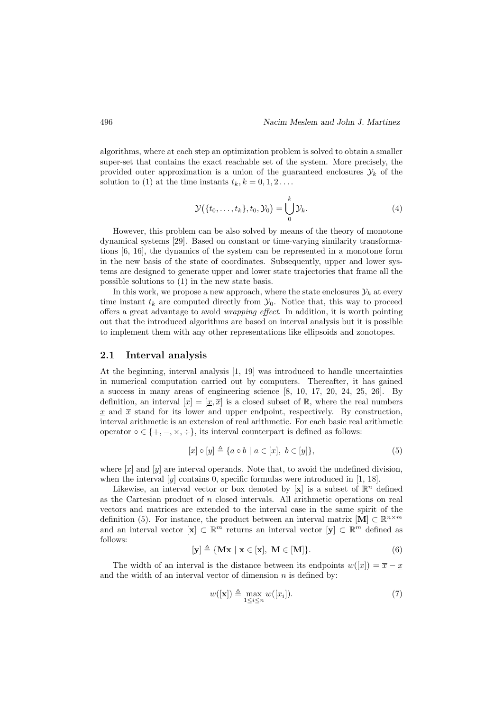algorithms, where at each step an optimization problem is solved to obtain a smaller super-set that contains the exact reachable set of the system. More precisely, the provided outer approximation is a union of the guaranteed enclosures  $\mathcal{Y}_k$  of the solution to (1) at the time instants  $t_k, k = 0, 1, 2, \ldots$ .

$$
\mathcal{Y}(\lbrace t_0,\ldots,t_k\rbrace,t_0,\mathcal{Y}_0)=\bigcup_{0}^k\mathcal{Y}_k.
$$
 (4)

However, this problem can be also solved by means of the theory of monotone dynamical systems [29]. Based on constant or time-varying similarity transformations [6, 16], the dynamics of the system can be represented in a monotone form in the new basis of the state of coordinates. Subsequently, upper and lower systems are designed to generate upper and lower state trajectories that frame all the possible solutions to (1) in the new state basis.

In this work, we propose a new approach, where the state enclosures  $\mathcal{Y}_k$  at every time instant  $t_k$  are computed directly from  $\mathcal{Y}_0$ . Notice that, this way to proceed offers a great advantage to avoid wrapping effect. In addition, it is worth pointing out that the introduced algorithms are based on interval analysis but it is possible to implement them with any other representations like ellipsoids and zonotopes.

## 2.1 Interval analysis

At the beginning, interval analysis [1, 19] was introduced to handle uncertainties in numerical computation carried out by computers. Thereafter, it has gained a success in many areas of engineering science [8, 10, 17, 20, 24, 25, 26]. By definition, an interval  $[x] = [x, \overline{x}]$  is a closed subset of  $\mathbb{R}$ , where the real numbers x and  $\bar{x}$  stand for its lower and upper endpoint, respectively. By construction, interval arithmetic is an extension of real arithmetic. For each basic real arithmetic operator  $\circ \in \{+, -, \times, \div\}$ , its interval counterpart is defined as follows:

$$
[x] \circ [y] \triangleq \{a \circ b \mid a \in [x], b \in [y] \},\tag{5}
$$

where  $[x]$  and  $[y]$  are interval operands. Note that, to avoid the undefined division, when the interval  $[y]$  contains 0, specific formulas were introduced in  $[1, 18]$ .

Likewise, an interval vector or box denoted by [x] is a subset of  $\mathbb{R}^n$  defined as the Cartesian product of n closed intervals. All arithmetic operations on real vectors and matrices are extended to the interval case in the same spirit of the definition (5). For instance, the product between an interval matrix  $[M] \subset \mathbb{R}^{n \times m}$ and an interval vector  $[\mathbf{x}] \subset \mathbb{R}^m$  returns an interval vector  $[\mathbf{y}] \subset \mathbb{R}^m$  defined as follows:

$$
[\mathbf{y}] \triangleq {\mathbf{Mx} \mid \mathbf{x} \in [\mathbf{x}]}, \ \mathbf{M} \in [\mathbf{M}]}.
$$
 (6)

The width of an interval is the distance between its endpoints  $w([x]) = \overline{x} - x$ and the width of an interval vector of dimension  $n$  is defined by:

$$
w([\mathbf{x}]) \triangleq \max_{1 \le i \le n} w([x_i]). \tag{7}
$$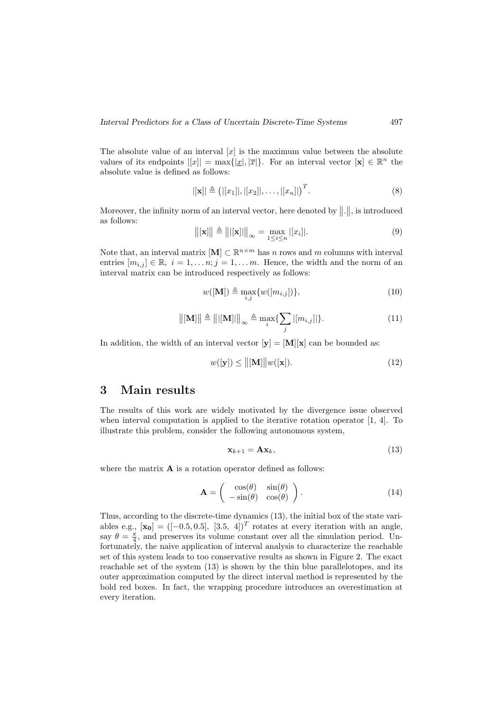The absolute value of an interval  $[x]$  is the maximum value between the absolute values of its endpoints  $||x|| = \max\{|x|, |\overline{x}|\}$ . For an interval vector  $|\mathbf{x}| \in \mathbb{R}^n$  the absolute value is defined as follows:

$$
|[\mathbf{x}]| \triangleq (|[x_1]|, |[x_2]|, \dots, |[x_n]|)^T.
$$
\n(8)

Moreover, the infinity norm of an interval vector, here denoted by  $\|\cdot\|$ , is introduced as follows:

$$
\|[\mathbf{x}]\| \triangleq \||[\mathbf{x}]||_{\infty} = \max_{1 \le i \le n} |[x_i]|.
$$
 (9)

Note that, an interval matrix  $[M] \subset \mathbb{R}^{n \times m}$  has n rows and m columns with interval entries  $[m_{i,j}] \in \mathbb{R}, i = 1, \ldots n; j = 1, \ldots m$ . Hence, the width and the norm of an interval matrix can be introduced respectively as follows:

$$
w([M]) \triangleq \max_{i,j} \{w([m_{i,j}])\},\tag{10}
$$

$$
\|[\mathbf{M}]\| \triangleq \||[\mathbf{M}]|\|_{\infty} \triangleq \max_{i} \{ \sum_{j} |[m_{i,j}]|\}.
$$
 (11)

In addition, the width of an interval vector  $[y] = [M][x]$  can be bounded as:

$$
w([\mathbf{y}]) \le ||[\mathbf{M}]||w([\mathbf{x}]). \tag{12}
$$

# 3 Main results

The results of this work are widely motivated by the divergence issue observed when interval computation is applied to the iterative rotation operator [1, 4]. To illustrate this problem, consider the following autonomous system,

$$
\mathbf{x}_{k+1} = \mathbf{A}\mathbf{x}_k,\tag{13}
$$

where the matrix  $\bf{A}$  is a rotation operator defined as follows:

$$
\mathbf{A} = \begin{pmatrix} \cos(\theta) & \sin(\theta) \\ -\sin(\theta) & \cos(\theta) \end{pmatrix}.
$$
 (14)

Thus, according to the discrete-time dynamics (13), the initial box of the state variables e.g.,  $[\mathbf{x_0}] = ([-0.5, 0.5], [3.5, 4])^T$  rotates at every iteration with an angle, say  $\theta = \frac{\pi}{4}$ , and preserves its volume constant over all the simulation period. Unfortunately, the naive application of interval analysis to characterize the reachable set of this system leads to too conservative results as shown in Figure 2. The exact reachable set of the system (13) is shown by the thin blue parallelotopes, and its outer approximation computed by the direct interval method is represented by the bold red boxes. In fact, the wrapping procedure introduces an overestimation at every iteration.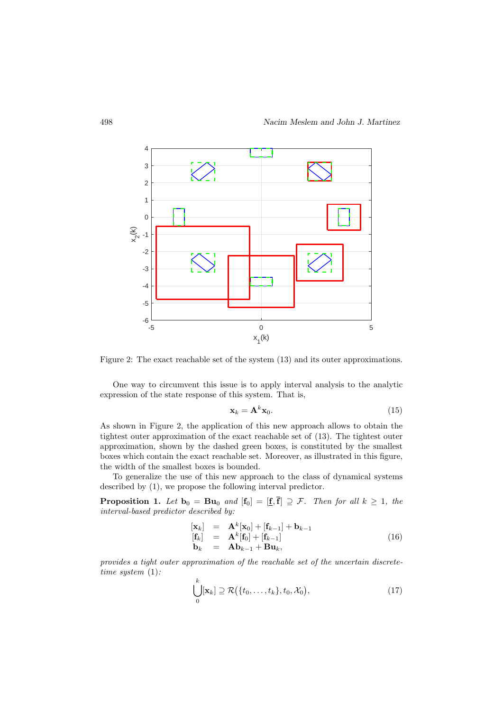

Figure 2: The exact reachable set of the system (13) and its outer approximations.

One way to circumvent this issue is to apply interval analysis to the analytic expression of the state response of this system. That is,

$$
\mathbf{x}_k = \mathbf{A}^k \mathbf{x}_0. \tag{15}
$$

As shown in Figure 2, the application of this new approach allows to obtain the tightest outer approximation of the exact reachable set of (13). The tightest outer approximation, shown by the dashed green boxes, is constituted by the smallest boxes which contain the exact reachable set. Moreover, as illustrated in this figure, the width of the smallest boxes is bounded.

To generalize the use of this new approach to the class of dynamical systems described by (1), we propose the following interval predictor.

**Proposition 1.** Let  $\mathbf{b}_0 = \mathbf{B}\mathbf{u}_0$  and  $[\mathbf{f}_0] = [\underline{\mathbf{f}}, \overline{\mathbf{f}}] \supseteq \mathcal{F}$ . Then for all  $k \geq 1$ , the interval-based predictor described by:

$$
\begin{array}{rcl}\n[\mathbf{x}_k] & = & \mathbf{A}^k[\mathbf{x}_0] + [\mathbf{f}_{k-1}] + \mathbf{b}_{k-1} \\
[\mathbf{f}_k] & = & \mathbf{A}^k[\mathbf{f}_0] + [\mathbf{f}_{k-1}] \\
\mathbf{b}_k & = & \mathbf{A}\mathbf{b}_{k-1} + \mathbf{B}\mathbf{u}_k,\n\end{array} \tag{16}
$$

provides a tight outer approximation of the reachable set of the uncertain discretetime system (1):

$$
\bigcup_{0}^{k} [\mathbf{x}_{k}] \supseteq \mathcal{R}(\{t_{0},\ldots,t_{k}\},t_{0},\mathcal{X}_{0}), \qquad (17)
$$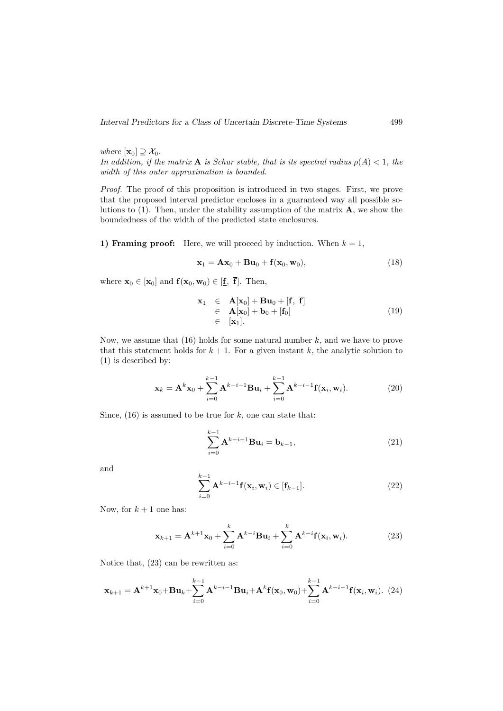where  $[\mathbf{x}_0] \supseteq \mathcal{X}_0$ . In addition, if the matrix **A** is Schur stable, that is its spectral radius  $\rho(A) < 1$ , the width of this outer approximation is bounded.

Proof. The proof of this proposition is introduced in two stages. First, we prove that the proposed interval predictor encloses in a guaranteed way all possible solutions to  $(1)$ . Then, under the stability assumption of the matrix  $\bf{A}$ , we show the boundedness of the width of the predicted state enclosures.

1) Framing proof: Here, we will proceed by induction. When  $k = 1$ ,

$$
\mathbf{x}_1 = \mathbf{A}\mathbf{x}_0 + \mathbf{B}\mathbf{u}_0 + \mathbf{f}(\mathbf{x}_0, \mathbf{w}_0),\tag{18}
$$

where  $\mathbf{x}_0 \in [\mathbf{x}_0]$  and  $\mathbf{f}(\mathbf{x}_0, \mathbf{w}_0) \in [\underline{\mathbf{f}}, \overline{\mathbf{f}}]$ . Then,

$$
\mathbf{x}_1 \in \mathbf{A}[\mathbf{x}_0] + \mathbf{B}\mathbf{u}_0 + [\mathbf{f}, \mathbf{f}] \n\in \mathbf{A}[\mathbf{x}_0] + \mathbf{b}_0 + [\mathbf{f}_0] \n\in [\mathbf{x}_1].
$$
\n(19)

Now, we assume that  $(16)$  holds for some natural number k, and we have to prove that this statement holds for  $k + 1$ . For a given instant k, the analytic solution to (1) is described by:

$$
\mathbf{x}_{k} = \mathbf{A}^{k} \mathbf{x}_{0} + \sum_{i=0}^{k-1} \mathbf{A}^{k-i-1} \mathbf{B} \mathbf{u}_{i} + \sum_{i=0}^{k-1} \mathbf{A}^{k-i-1} \mathbf{f}(\mathbf{x}_{i}, \mathbf{w}_{i}).
$$
 (20)

Since,  $(16)$  is assumed to be true for k, one can state that:

$$
\sum_{i=0}^{k-1} \mathbf{A}^{k-i-1} \mathbf{B} \mathbf{u}_i = \mathbf{b}_{k-1},
$$
\n(21)

and

$$
\sum_{i=0}^{k-1} \mathbf{A}^{k-i-1} \mathbf{f}(\mathbf{x}_i, \mathbf{w}_i) \in [\mathbf{f}_{k-1}].
$$
\n(22)

Now, for  $k + 1$  one has:

$$
\mathbf{x}_{k+1} = \mathbf{A}^{k+1}\mathbf{x}_0 + \sum_{i=0}^k \mathbf{A}^{k-i}\mathbf{B}\mathbf{u}_i + \sum_{i=0}^k \mathbf{A}^{k-i}\mathbf{f}(\mathbf{x}_i, \mathbf{w}_i).
$$
 (23)

Notice that, (23) can be rewritten as:

$$
\mathbf{x}_{k+1} = \mathbf{A}^{k+1}\mathbf{x}_0 + \mathbf{B}\mathbf{u}_k + \sum_{i=0}^{k-1} \mathbf{A}^{k-i-1}\mathbf{B}\mathbf{u}_i + \mathbf{A}^k \mathbf{f}(\mathbf{x}_0, \mathbf{w}_0) + \sum_{i=0}^{k-1} \mathbf{A}^{k-i-1} \mathbf{f}(\mathbf{x}_i, \mathbf{w}_i).
$$
 (24)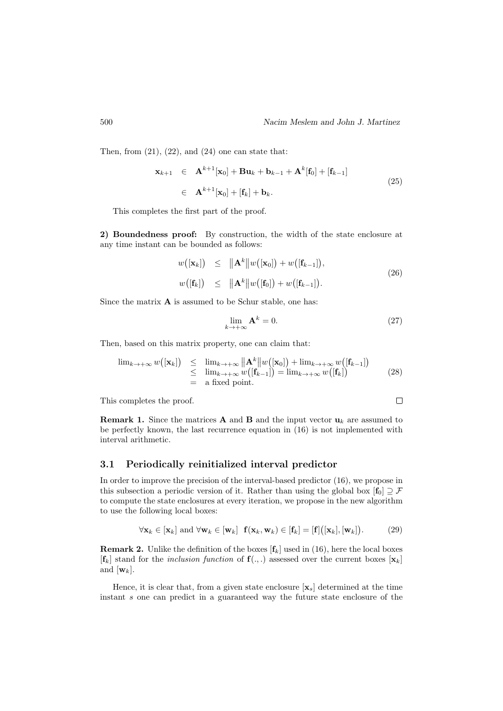Then, from  $(21)$ ,  $(22)$ , and  $(24)$  one can state that:

$$
\mathbf{x}_{k+1} \in \mathbf{A}^{k+1}[\mathbf{x}_0] + \mathbf{B}\mathbf{u}_k + \mathbf{b}_{k-1} + \mathbf{A}^k[\mathbf{f}_0] + [\mathbf{f}_{k-1}]
$$
\n
$$
\in \mathbf{A}^{k+1}[\mathbf{x}_0] + [\mathbf{f}_k] + \mathbf{b}_k.
$$
\n(25)

This completes the first part of the proof.

2) Boundedness proof: By construction, the width of the state enclosure at any time instant can be bounded as follows:

$$
w([\mathbf{x}_k]) \leq ||\mathbf{A}^k||w([\mathbf{x}_0]) + w([\mathbf{f}_{k-1}]),
$$
  

$$
w([\mathbf{f}_k]) \leq ||\mathbf{A}^k||w([\mathbf{f}_0]) + w([\mathbf{f}_{k-1}]).
$$
 (26)

Since the matrix **A** is assumed to be Schur stable, one has:

$$
\lim_{k \to +\infty} \mathbf{A}^k = 0. \tag{27}
$$

 $\Box$ 

Then, based on this matrix property, one can claim that:

$$
\lim_{k \to +\infty} w([\mathbf{x}_k]) \leq \lim_{k \to +\infty} ||\mathbf{A}^k||w([\mathbf{x}_0]) + \lim_{k \to +\infty} w([\mathbf{f}_{k-1}])
$$
\n
$$
\leq \lim_{k \to +\infty} w([\mathbf{f}_{k-1}]) = \lim_{k \to +\infty} w([\mathbf{f}_k])
$$
\n
$$
= \text{a fixed point.}
$$
\n(28)

This completes the proof.

**Remark 1.** Since the matrices **A** and **B** and the input vector 
$$
\mathbf{u}_k
$$
 are assumed to be perfectly known, the last recurrence equation in (16) is not implemented with interval arithmetic.

## 3.1 Periodically reinitialized interval predictor

In order to improve the precision of the interval-based predictor (16), we propose in this subsection a periodic version of it. Rather than using the global box  $[f_0] \supset \mathcal{F}$ to compute the state enclosures at every iteration, we propose in the new algorithm to use the following local boxes:

$$
\forall \mathbf{x}_k \in [\mathbf{x}_k] \text{ and } \forall \mathbf{w}_k \in [\mathbf{w}_k] \mathbf{f}(\mathbf{x}_k, \mathbf{w}_k) \in [\mathbf{f}_k] = [\mathbf{f}]([\mathbf{x}_k], [\mathbf{w}_k]). \tag{29}
$$

**Remark 2.** Unlike the definition of the boxes  $[f_k]$  used in (16), here the local boxes  $[\mathbf{f}_k]$  stand for the *inclusion function* of  $\mathbf{f}(.,.)$  assessed over the current boxes  $[\mathbf{x}_k]$ and  $[\mathbf{w}_k]$ .

Hence, it is clear that, from a given state enclosure  $[\mathbf{x}_s]$  determined at the time instant s one can predict in a guaranteed way the future state enclosure of the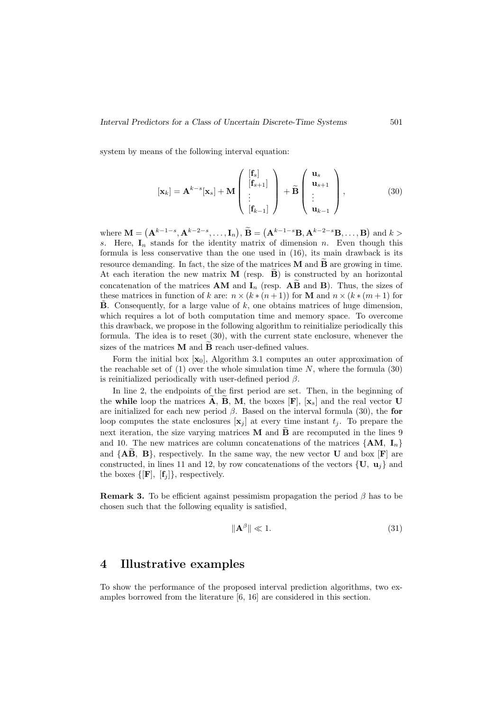system by means of the following interval equation:

$$
[\mathbf{x}_k] = \mathbf{A}^{k-s}[\mathbf{x}_s] + \mathbf{M} \begin{pmatrix} [\mathbf{f}_s] \\ [\mathbf{f}_{s+1}] \\ \vdots \\ [\mathbf{f}_{k-1}] \end{pmatrix} + \widetilde{\mathbf{B}} \begin{pmatrix} \mathbf{u}_s \\ \mathbf{u}_{s+1} \\ \vdots \\ \mathbf{u}_{k-1} \end{pmatrix},
$$
(30)

where  $\mathbf{M} = (\mathbf{A}^{k-1-s}, \mathbf{A}^{k-2-s}, \dots, \mathbf{I}_n), \ \mathbf{B} = (\mathbf{A}^{k-1-s} \mathbf{B}, \mathbf{A}^{k-2-s} \mathbf{B}, \dots, \mathbf{B})$  and  $k >$ s. Here,  $I_n$  stands for the identity matrix of dimension n. Even though this formula is less conservative than the one used in (16), its main drawback is its resource demanding. In fact, the size of the matrices  $\bf{M}$  and  $\bf{\tilde{B}}$  are growing in time. At each iteration the new matrix  $M$  (resp.  $B$ ) is constructed by an horizontal concatenation of the matrices **AM** and  $I_n$  (resp.  $\widehat{AB}$  and **B**). Thus, the sizes of these matrices in function of k are:  $n \times (k * (n+1))$  for **M** and  $n \times (k * (m+1))$  for  $\hat{\mathbf{B}}$ . Consequently, for a large value of k, one obtains matrices of huge dimension, which requires a lot of both computation time and memory space. To overcome this drawback, we propose in the following algorithm to reinitialize periodically this formula. The idea is to reset (30), with the current state enclosure, whenever the sizes of the matrices  $M$  and  $B$  reach user-defined values.

Form the initial box  $[\mathbf{x}_0]$ , Algorithm 3.1 computes an outer approximation of the reachable set of  $(1)$  over the whole simulation time N, where the formula  $(30)$ is reinitialized periodically with user-defined period  $\beta$ .

In line 2, the endpoints of the first period are set. Then, in the beginning of the while loop the matrices  $\overline{A}$ ,  $\overline{B}$ ,  $\overline{M}$ , the boxes  $[F]$ ,  $[x_s]$  and the real vector U are initialized for each new period  $\beta$ . Based on the interval formula (30), the for loop computes the state enclosures  $[\mathbf{x}_i]$  at every time instant  $t_i$ . To prepare the next iteration, the size varying matrices  $\bf{M}$  and  $\bf{B}$  are recomputed in the lines 9 and 10. The new matrices are column concatenations of the matrices  $\{AM, I_n\}$ and  ${AB, B}$ , respectively. In the same way, the new vector U and box [F] are constructed, in lines 11 and 12, by row concatenations of the vectors  $\{U, u_i\}$  and the boxes  $\{[\mathbf{F}], [\mathbf{f}_j]\},$  respectively.

**Remark 3.** To be efficient against pessimism propagation the period  $\beta$  has to be chosen such that the following equality is satisfied,

$$
\|\mathbf{A}^{\beta}\| \ll 1. \tag{31}
$$

## 4 Illustrative examples

To show the performance of the proposed interval prediction algorithms, two examples borrowed from the literature [6, 16] are considered in this section.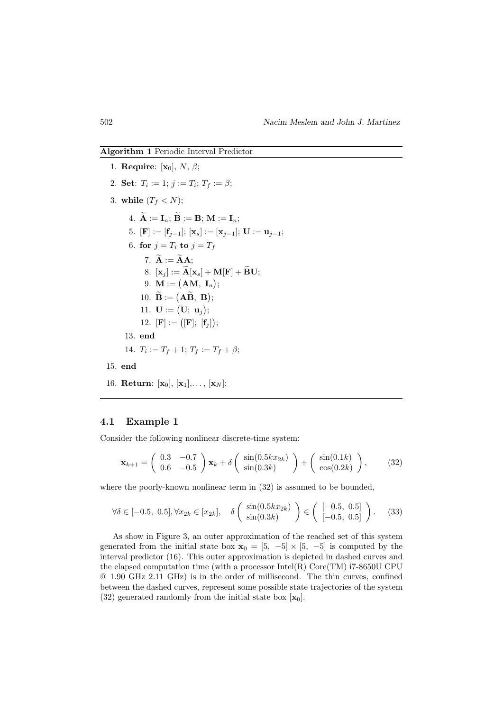### Algorithm 1 Periodic Interval Predictor

1. Require:  $[\mathbf{x}_0]$ , N,  $\beta$ ; 2. Set:  $T_i := 1; j := T_i; T_f := \beta;$ 3. while  $(T_f < N)$ ; 4.  $\widetilde{\mathbf{A}} := \mathbf{I}_n$ ;  $\widetilde{\mathbf{B}} := \mathbf{B}$ ;  $\mathbf{M} := \mathbf{I}_n$ ; 5.  $[\mathbf{F}] := [\mathbf{f}_{j-1}]$ ;  $[\mathbf{x}_s] := [\mathbf{x}_{j-1}]$ ;  $\mathbf{U} := \mathbf{u}_{j-1}$ ; 6. for  $j = T_i$  to  $j = T_f$ 7.  $\widetilde{\mathbf{A}} := \widetilde{\mathbf{A}} \mathbf{A}$ : 8.  $[\mathbf{x}_j] := \widetilde{\mathbf{A}}[\mathbf{x}_s] + \mathbf{M}[\mathbf{F}] + \widetilde{\mathbf{B}}\mathbf{U};$  $9. \, \mathbf{M} := \big( \mathbf{AM}, \, \, \mathbf{I}_n \big);$ 10.  $B := (AB, B);$ 11.  $U := (U; u_j);$ 12.  $[{\bf F}] := ([{\bf F}]; [f_j]);$ 13. end 14.  $T_i := T_f + 1; T_f := T_f + \beta;$ 15. end 16. Return:  $[\mathbf{x}_0], [\mathbf{x}_1], \ldots, [\mathbf{x}_N]$ ;

## 4.1 Example 1

Consider the following nonlinear discrete-time system:

$$
\mathbf{x}_{k+1} = \begin{pmatrix} 0.3 & -0.7 \\ 0.6 & -0.5 \end{pmatrix} \mathbf{x}_k + \delta \begin{pmatrix} \sin(0.5kx_{2k}) \\ \sin(0.3k) \end{pmatrix} + \begin{pmatrix} \sin(0.1k) \\ \cos(0.2k) \end{pmatrix},
$$
(32)

where the poorly-known nonlinear term in (32) is assumed to be bounded,

$$
\forall \delta \in [-0.5, 0.5], \forall x_{2k} \in [x_{2k}], \quad \delta \left( \begin{array}{c} \sin(0.5kx_{2k}) \\ \sin(0.3k) \end{array} \right) \in \left( \begin{array}{c} [-0.5, 0.5] \\ [-0.5, 0.5] \end{array} \right). \tag{33}
$$

As show in Figure 3, an outer approximation of the reached set of this system generated from the initial state box  $\mathbf{x}_0 = \begin{bmatrix} 5 \\ -5 \end{bmatrix} \times \begin{bmatrix} 5 \\ -5 \end{bmatrix}$  is computed by the interval predictor (16). This outer approximation is depicted in dashed curves and the elapsed computation time (with a processor Intel(R) Core(TM) i7-8650U CPU @ 1.90 GHz 2.11 GHz) is in the order of millisecond. The thin curves, confined between the dashed curves, represent some possible state trajectories of the system (32) generated randomly from the initial state box  $[\mathbf{x}_0]$ .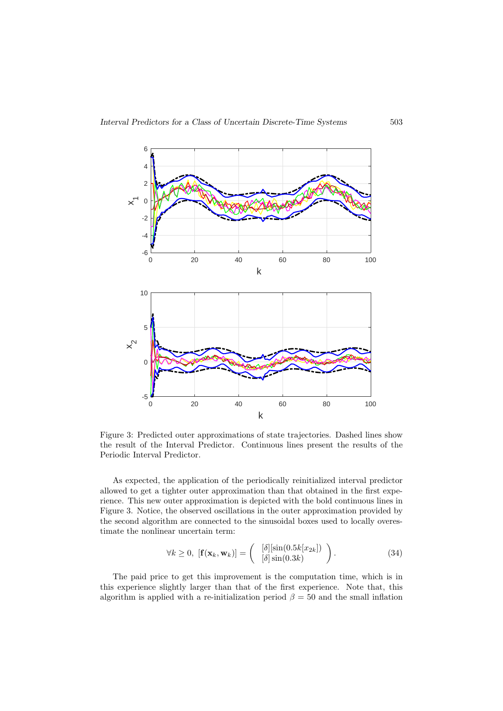

Figure 3: Predicted outer approximations of state trajectories. Dashed lines show the result of the Interval Predictor. Continuous lines present the results of the Periodic Interval Predictor.

As expected, the application of the periodically reinitialized interval predictor allowed to get a tighter outer approximation than that obtained in the first experience. This new outer approximation is depicted with the bold continuous lines in Figure 3. Notice, the observed oscillations in the outer approximation provided by the second algorithm are connected to the sinusoidal boxes used to locally overestimate the nonlinear uncertain term:

$$
\forall k \geq 0, \; [\mathbf{f}(\mathbf{x}_k, \mathbf{w}_k)] = \begin{pmatrix} [\delta][\sin(0.5k[x_{2k}]) \\ [\delta]\sin(0.3k) \end{pmatrix} . \tag{34}
$$

The paid price to get this improvement is the computation time, which is in this experience slightly larger than that of the first experience. Note that, this algorithm is applied with a re-initialization period  $\beta = 50$  and the small inflation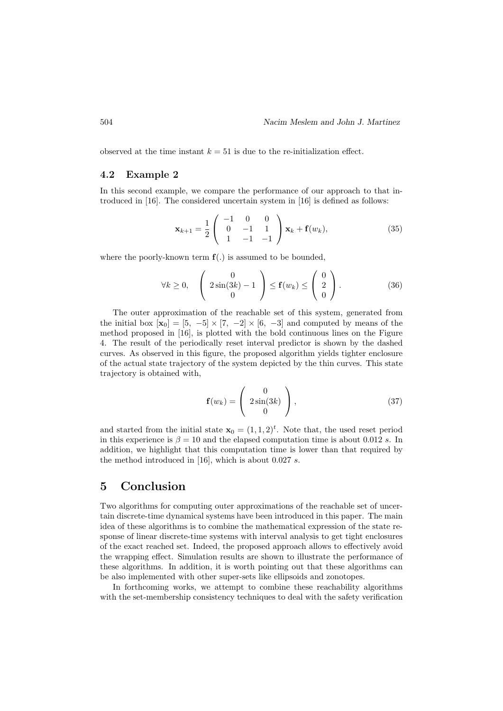observed at the time instant  $k = 51$  is due to the re-initialization effect.

## 4.2 Example 2

In this second example, we compare the performance of our approach to that introduced in [16]. The considered uncertain system in [16] is defined as follows:

$$
\mathbf{x}_{k+1} = \frac{1}{2} \begin{pmatrix} -1 & 0 & 0 \\ 0 & -1 & 1 \\ 1 & -1 & -1 \end{pmatrix} \mathbf{x}_k + \mathbf{f}(w_k), \tag{35}
$$

where the poorly-known term  $f(.)$  is assumed to be bounded,

$$
\forall k \ge 0, \quad \left(2\sin(3k) - 1 \atop 0 \right) \le \mathbf{f}(w_k) \le \left(\begin{array}{c} 0 \\ 2 \\ 0 \end{array}\right). \tag{36}
$$

The outer approximation of the reachable set of this system, generated from the initial box  $[\mathbf{x}_0] = [5, -5] \times [7, -2] \times [6, -3]$  and computed by means of the method proposed in [16], is plotted with the bold continuous lines on the Figure 4. The result of the periodically reset interval predictor is shown by the dashed curves. As observed in this figure, the proposed algorithm yields tighter enclosure of the actual state trajectory of the system depicted by the thin curves. This state trajectory is obtained with,

$$
\mathbf{f}(w_k) = \begin{pmatrix} 0 \\ 2\sin(3k) \\ 0 \end{pmatrix}, \tag{37}
$$

and started from the initial state  $\mathbf{x}_0 = (1, 1, 2)^t$ . Note that, the used reset period in this experience is  $\beta = 10$  and the elapsed computation time is about 0.012 s. In addition, we highlight that this computation time is lower than that required by the method introduced in [16], which is about 0.027 s.

# 5 Conclusion

Two algorithms for computing outer approximations of the reachable set of uncertain discrete-time dynamical systems have been introduced in this paper. The main idea of these algorithms is to combine the mathematical expression of the state response of linear discrete-time systems with interval analysis to get tight enclosures of the exact reached set. Indeed, the proposed approach allows to effectively avoid the wrapping effect. Simulation results are shown to illustrate the performance of these algorithms. In addition, it is worth pointing out that these algorithms can be also implemented with other super-sets like ellipsoids and zonotopes.

In forthcoming works, we attempt to combine these reachability algorithms with the set-membership consistency techniques to deal with the safety verification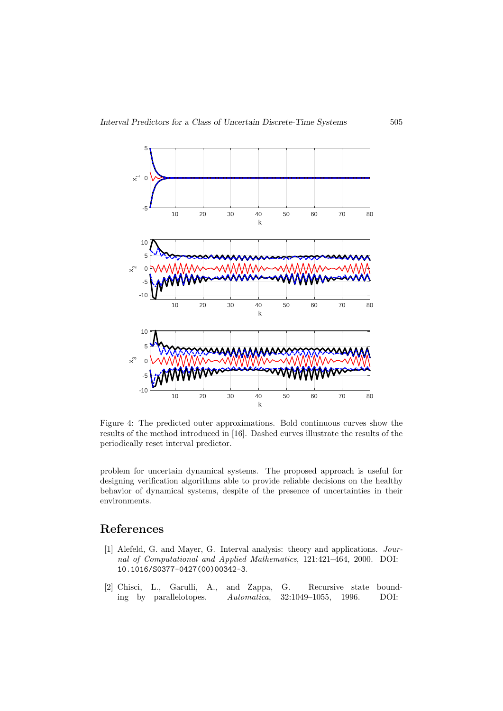

Figure 4: The predicted outer approximations. Bold continuous curves show the results of the method introduced in [16]. Dashed curves illustrate the results of the periodically reset interval predictor.

problem for uncertain dynamical systems. The proposed approach is useful for designing verification algorithms able to provide reliable decisions on the healthy behavior of dynamical systems, despite of the presence of uncertainties in their environments.

# References

- [1] Alefeld, G. and Mayer, G. Interval analysis: theory and applications. Journal of Computational and Applied Mathematics, 121:421–464, 2000. DOI: 10.1016/S0377-0427(00)00342-3.
- [2] Chisci, L., Garulli, A., and Zappa, G. Recursive state bounding by parallelotopes. Automatica, 32:1049–1055, 1996. DOI: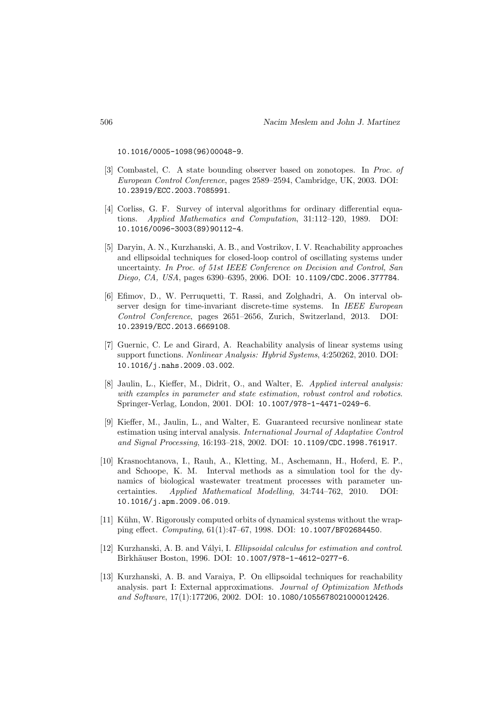10.1016/0005-1098(96)00048-9.

- [3] Combastel, C. A state bounding observer based on zonotopes. In Proc. of European Control Conference, pages 2589–2594, Cambridge, UK, 2003. DOI: 10.23919/ECC.2003.7085991.
- [4] Corliss, G. F. Survey of interval algorithms for ordinary differential equations. Applied Mathematics and Computation, 31:112–120, 1989. DOI: 10.1016/0096-3003(89)90112-4.
- [5] Daryin, A. N., Kurzhanski, A. B., and Vostrikov, I. V. Reachability approaches and ellipsoidal techniques for closed-loop control of oscillating systems under uncertainty. In Proc. of 51st IEEE Conference on Decision and Control, San Diego, CA, USA, pages 6390–6395, 2006. DOI: 10.1109/CDC.2006.377784.
- [6] Efimov, D., W. Perruquetti, T. Rassi, and Zolghadri, A. On interval observer design for time-invariant discrete-time systems. In IEEE European Control Conference, pages 2651–2656, Zurich, Switzerland, 2013. DOI: 10.23919/ECC.2013.6669108.
- [7] Guernic, C. Le and Girard, A. Reachability analysis of linear systems using support functions. Nonlinear Analysis: Hybrid Systems, 4:250262, 2010. DOI: 10.1016/j.nahs.2009.03.002.
- [8] Jaulin, L., Kieffer, M., Didrit, O., and Walter, E. Applied interval analysis: with examples in parameter and state estimation, robust control and robotics. Springer-Verlag, London, 2001. DOI: 10.1007/978-1-4471-0249-6.
- [9] Kieffer, M., Jaulin, L., and Walter, E. Guaranteed recursive nonlinear state estimation using interval analysis. International Journal of Adaptative Control and Signal Processing, 16:193–218, 2002. DOI: 10.1109/CDC.1998.761917.
- [10] Krasnochtanova, I., Rauh, A., Kletting, M., Aschemann, H., Hoferd, E. P., and Schoope, K. M. Interval methods as a simulation tool for the dynamics of biological wastewater treatment processes with parameter uncertainties. Applied Mathematical Modelling, 34:744–762, 2010. DOI: 10.1016/j.apm.2009.06.019.
- [11] Kühn, W. Rigorously computed orbits of dynamical systems without the wrapping effect. Computing, 61(1):47–67, 1998. DOI: 10.1007/BF02684450.
- [12] Kurzhanski, A. B. and Vályi, I. Ellipsoidal calculus for estimation and control. Birkhäuser Boston, 1996. DOI: 10.1007/978-1-4612-0277-6.
- [13] Kurzhanski, A. B. and Varaiya, P. On ellipsoidal techniques for reachability analysis. part I: External approximations. Journal of Optimization Methods and Software, 17(1):177206, 2002. DOI: 10.1080/1055678021000012426.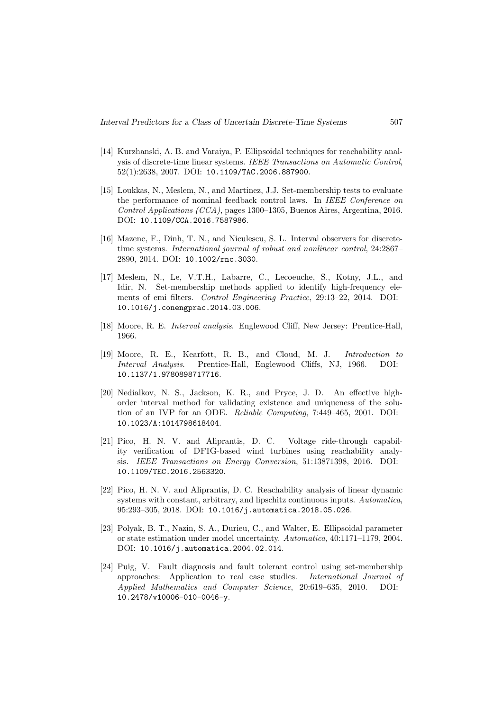- [14] Kurzhanski, A. B. and Varaiya, P. Ellipsoidal techniques for reachability analysis of discrete-time linear systems. IEEE Transactions on Automatic Control, 52(1):2638, 2007. DOI: 10.1109/TAC.2006.887900.
- [15] Loukkas, N., Meslem, N., and Martinez, J.J. Set-membership tests to evaluate the performance of nominal feedback control laws. In IEEE Conference on Control Applications (CCA), pages 1300–1305, Buenos Aires, Argentina, 2016. DOI: 10.1109/CCA.2016.7587986.
- [16] Mazenc, F., Dinh, T. N., and Niculescu, S. L. Interval observers for discretetime systems. International journal of robust and nonlinear control, 24:2867– 2890, 2014. DOI: 10.1002/rnc.3030.
- [17] Meslem, N., Le, V.T.H., Labarre, C., Lecoeuche, S., Kotny, J.L., and Idir, N. Set-membership methods applied to identify high-frequency elements of emi filters. Control Engineering Practice, 29:13–22, 2014. DOI: 10.1016/j.conengprac.2014.03.006.
- [18] Moore, R. E. Interval analysis. Englewood Cliff, New Jersey: Prentice-Hall, 1966.
- [19] Moore, R. E., Kearfott, R. B., and Cloud, M. J. Introduction to Interval Analysis. Prentice-Hall, Englewood Cliffs, NJ, 1966. DOI: 10.1137/1.9780898717716.
- [20] Nedialkov, N. S., Jackson, K. R., and Pryce, J. D. An effective highorder interval method for validating existence and uniqueness of the solution of an IVP for an ODE. Reliable Computing, 7:449–465, 2001. DOI: 10.1023/A:1014798618404.
- [21] Pico, H. N. V. and Aliprantis, D. C. Voltage ride-through capability verification of DFIG-based wind turbines using reachability analysis. IEEE Transactions on Energy Conversion, 51:13871398, 2016. DOI: 10.1109/TEC.2016.2563320.
- [22] Pico, H. N. V. and Aliprantis, D. C. Reachability analysis of linear dynamic systems with constant, arbitrary, and lipschitz continuous inputs. Automatica, 95:293–305, 2018. DOI: 10.1016/j.automatica.2018.05.026.
- [23] Polyak, B. T., Nazin, S. A., Durieu, C., and Walter, E. Ellipsoidal parameter or state estimation under model uncertainty. Automatica, 40:1171–1179, 2004. DOI: 10.1016/j.automatica.2004.02.014.
- [24] Puig, V. Fault diagnosis and fault tolerant control using set-membership approaches: Application to real case studies. International Journal of Applied Mathematics and Computer Science, 20:619–635, 2010. DOI: 10.2478/v10006-010-0046-y.